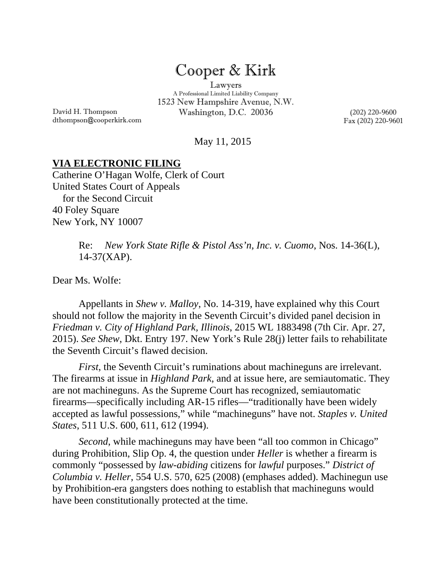## Cooper & Kirk

Lawyers A Professional Limited Liability Company 1523 New Hampshire Avenue, N.W. Washington, D.C. 20036 (202) 220-9600

Fax (202) 220-9601

May 11, 2015

## **VIA ELECTRONIC FILING**

Catherine O'Hagan Wolfe, Clerk of Court United States Court of Appeals for the Second Circuit 40 Foley Square New York, NY 10007

> Re: *New York State Rifle & Pistol Ass'n, Inc. v. Cuomo*, Nos. 14-36(L), 14-37(XAP).

Dear Ms. Wolfe:

David H. Thompson

dthompson@cooperkirk.com

 Appellants in *Shew v. Malloy*, No. 14-319, have explained why this Court should not follow the majority in the Seventh Circuit's divided panel decision in *Friedman v. City of Highland Park, Illinois*, 2015 WL 1883498 (7th Cir. Apr. 27, 2015). *See Shew*, Dkt. Entry 197. New York's Rule 28(j) letter fails to rehabilitate the Seventh Circuit's flawed decision.

*First*, the Seventh Circuit's ruminations about machineguns are irrelevant. The firearms at issue in *Highland Park*, and at issue here, are semiautomatic. They are not machineguns. As the Supreme Court has recognized, semiautomatic firearms—specifically including AR-15 rifles—"traditionally have been widely accepted as lawful possessions," while "machineguns" have not. *Staples v. United States*, 511 U.S. 600, 611, 612 (1994).

*Second*, while machineguns may have been "all too common in Chicago" during Prohibition, Slip Op. 4, the question under *Heller* is whether a firearm is commonly "possessed by *law-abiding* citizens for *lawful* purposes." *District of Columbia v. Heller*, 554 U.S. 570, 625 (2008) (emphases added). Machinegun use by Prohibition-era gangsters does nothing to establish that machineguns would have been constitutionally protected at the time.